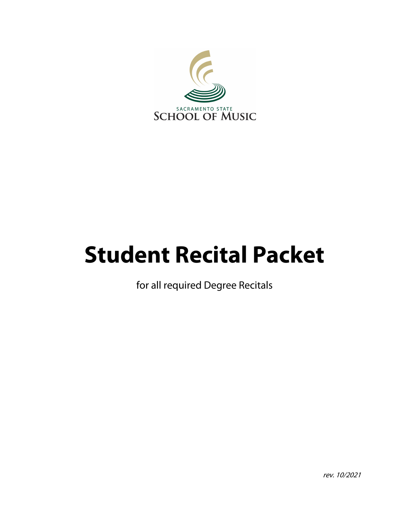

# **Student Recital Packet**

for all required Degree Recitals

rev. 10/2021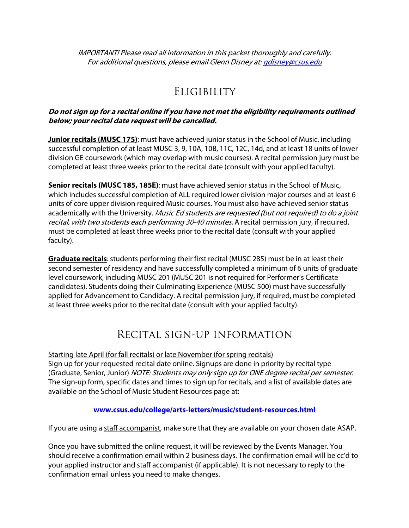IMPORTANT! Please read all information in this packet thoroughly and carefully. For additional questions, please email Glenn Disney at: *gdisney@csus.edu* 

# **ELIGIBILITY**

## **Do not sign up for a recital online if you have not met the eligibility requirements outlined below; your recital date request will be cancelled.**

**Junior recitals (MUSC 175)**: must have achieved junior status in the School of Music, including successful completion of at least MUSC 3, 9, 10A, 10B, 11C, 12C, 14d, and at least 18 units of lower division GE coursework (which may overlap with music courses). A recital permission jury must be completed at least three weeks prior to the recital date (consult with your applied faculty).

**Senior recitals (MUSC 185, 185E)**: must have achieved senior status in the School of Music, which includes successful completion of ALL required lower division major courses and at least 6 units of core upper division required Music courses. You must also have achieved senior status academically with the University. Music Ed students are requested (but not required) to do a joint recital, with two students each performing 30-40 minutes. A recital permission jury, if required, must be completed at least three weeks prior to the recital date (consult with your applied faculty).

**Graduate recitals**: students performing their first recital (MUSC 285) must be in at least their second semester of residency and have successfully completed a minimum of 6 units of graduate level coursework, including MUSC 201 (MUSC 201 is not required for Performer's Certificate candidates). Students doing their Culminating Experience (MUSC 500) must have successfully applied for Advancement to Candidacy. A recital permission jury, if required, must be completed at least three weeks prior to the recital date (consult with your applied faculty).

# Recital sign-up information

Starting late April (for fall recitals) or late November (for spring recitals) Sign up for your requested recital date online. Signups are done in priority by recital type (Graduate, Senior, Junior) NOTE: Students may only sign up for ONE degree recital per semester. The sign-up form, specific dates and times to sign up for recitals, and a list of available dates are available on the School of Music Student Resources page at:

# **[www.csus.edu/college/arts-letters/music/student-resources.html](http://www.csus.edu/college/arts-letters/music/student-resources.html)**

If you are using a staff accompanist, make sure that they are available on your chosen date ASAP.

Once you have submitted the online request, it will be reviewed by the Events Manager. You should receive a confirmation email within 2 business days. The confirmation email will be cc'd to your applied instructor and staff accompanist (if applicable). It is not necessary to reply to the confirmation email unless you need to make changes.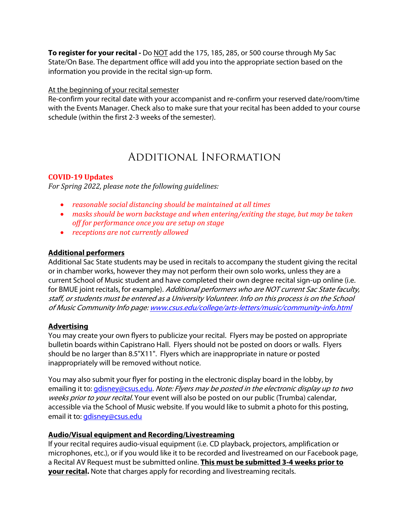**To register for your recital -** Do NOT add the 175, 185, 285, or 500 course through My Sac State/On Base. The department office will add you into the appropriate section based on the information you provide in the recital sign-up form.

#### At the beginning of your recital semester

Re-confirm your recital date with your accompanist and re-confirm your reserved date/room/time with the Events Manager. Check also to make sure that your recital has been added to your course schedule (within the first 2-3 weeks of the semester).

# Additional Information

# **COVID-19 Updates**

For Spring 2022, please note the following guidelines:

- *reasonable social distancing should be maintained at all times*
- *masks should be worn backstage and when entering/exiting the stage, but may be taken* off for performance once you are setup on stage
- *receptions are not currently allowed*

## **Additional performers**

Additional Sac State students may be used in recitals to accompany the student giving the recital or in chamber works, however they may not perform their own solo works, unless they are a current School of Music student and have completed their own degree recital sign-up online (i.e. for BMUE joint recitals, for example). Additional performers who are NOT current Sac State faculty, staff, or students must be entered as a University Volunteer. Info on this process is on the School of Music Community Info page: [www.csus.edu/college/arts-letters/music/community-info.html](http://www.csus.edu/college/arts-letters/music/community-info.html)

# **Advertising**

You may create your own flyers to publicize your recital. Flyers may be posted on appropriate bulletin boards within Capistrano Hall. Flyers should not be posted on doors or walls. Flyers should be no larger than 8.5"X11". Flyers which are inappropriate in nature or posted inappropriately will be removed without notice.

You may also submit your flyer for posting in the electronic display board in the lobby, by emailing it to: *gdisney@csus.edu. Note: Flyers may be posted in the electronic display up to two* weeks prior to your recital. Your event will also be posted on our public (Trumba) calendar, accessible via the School of Music website. If you would like to submit a photo for this posting, email it to: [gdisney@csus.edu](mailto:gdisney@csus.edu?subject=Recital photo)

#### **Audio/Visual equipment and Recording/Livestreaming**

If your recital requires audio-visual equipment (i.e. CD playback, projectors, amplification or microphones, etc.), or if you would like it to be recorded and livestreamed on our Facebook page, a Recital AV Request must be submitted online. **This must be submitted 3-4 weeks prior to your recital.** Note that charges apply for recording and livestreaming recitals.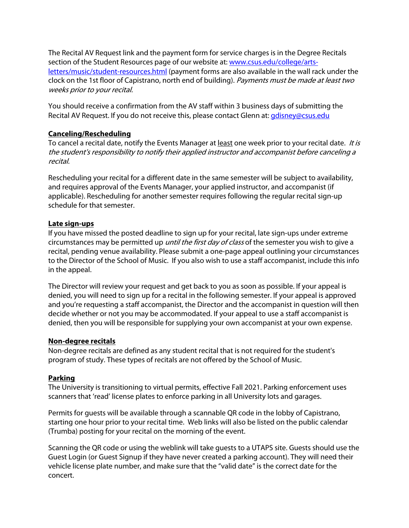The Recital AV Request link and the payment form for service charges is in the Degree Recitals [section of the Student Resources page of our website at: www.csus.edu/college/arts](http://www.csus.edu/college/arts-letters/music/student-resources.html)letters[/music/student-resources.html](http://www.csus.edu/college/arts-letters/music/student-resources.html) (payment forms are also available in the wall rack under the clock on the 1st floor of Capistrano, north end of building). Payments must be made at least two weeks prior to your recital.

You should receive a confirmation from the AV staff within 3 business days of submitting the Recital AV Request. If you do not receive this, please contact Glenn at: [gdisney@csus.edu](mailto:gdisney@csus.edu?subject=Recital AV confirmation)

# **Canceling/Rescheduling**

To cancel a recital date, notify the Events Manager at least one week prior to your recital date. It is the student's responsibility to notify their applied instructor and accompanist before canceling a recital.

Rescheduling your recital for a different date in the same semester will be subject to availability, and requires approval of the Events Manager, your applied instructor, and accompanist (if applicable). Rescheduling for another semester requires following the regular recital sign-up schedule for that semester.

# **Late sign-ups**

If you have missed the posted deadline to sign up for your recital, late sign-ups under extreme circumstances may be permitted up *until the first day of class* of the semester you wish to give a recital, pending venue availability. Please submit a one-page appeal outlining your circumstances to the Director of the School of Music. If you also wish to use a staff accompanist, include this info in the appeal.

The Director will review your request and get back to you as soon as possible. If your appeal is denied, you will need to sign up for a recital in the following semester. If your appeal is approved and you're requesting a staff accompanist, the Director and the accompanist in question will then decide whether or not you may be accommodated. If your appeal to use a staff accompanist is denied, then you will be responsible for supplying your own accompanist at your own expense.

# **Non-degree recitals**

Non-degree recitals are defined as any student recital that is not required for the student's program of study. These types of recitals are not offered by the School of Music.

# **Parking**

The University is transitioning to virtual permits, effective Fall 2021. Parking enforcement uses scanners that 'read' license plates to enforce parking in all University lots and garages.

Permits for guests will be available through a scannable QR code in the lobby of Capistrano, starting one hour prior to your recital time. Web links will also be listed on the public calendar (Trumba) posting for your recital on the morning of the event.

Scanning the QR code or using the weblink will take guests to a UTAPS site. Guests should use the Guest Login (or Guest Signup if they have never created a parking account). They will need their vehicle license plate number, and make sure that the "valid date" is the correct date for the concert.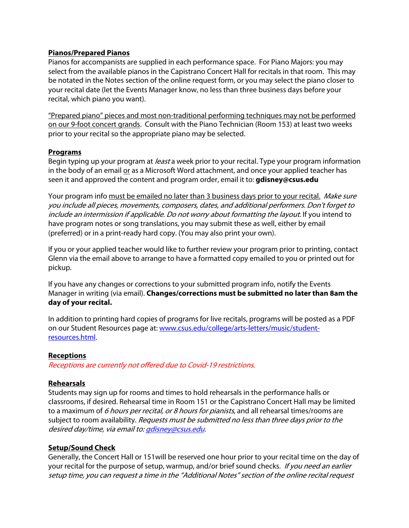#### **Pianos/Prepared Pianos**

Pianos for accompanists are supplied in each performance space. For Piano Majors: you may select from the available pianos in the Capistrano Concert Hall for recitals in that room. This may be notated in the Notes section of the online request form, or you may select the piano closer to your recital date (let the Events Manager know, no less than three business days before your recital, which piano you want).

"Prepared piano" pieces and most non-traditional performing techniques may not be performed on our 9-foot concert grands. Consult with the Piano Technician (Room 153) at least two weeks prior to your recital so the appropriate piano may be selected.

## **Programs**

Begin typing up your program at *least* a week prior to your recital. Type your program information in the body of an email or as a Microsoft Word attachment, and once your applied teacher has seen it and approved the content and program order, email it to: **[gdisney@csus.edu](mailto:gdisney@csus.edu?subject=Recital program)**

Your program info must be emailed no later than 3 business days prior to your recital. Make sure you include all pieces, movements, composers, dates, and additional performers. Don't forget to include an intermission if applicable. Do not worry about formatting the layout. If you intend to have program notes or song translations, you may submit these as well, either by email (preferred) or in a print-ready hard copy. (You may also print your own).

If you or your applied teacher would like to further review your program prior to printing, contact Glenn via the email above to arrange to have a formatted copy emailed to you or printed out for pickup.

If you have any changes or corrections to your submitted program info, notify the Events Manager in writing (via email). **Changes/corrections must be submitted no later than 8am the day of your recital.**

In addition to printing hard copies of programs for live recitals, programs will be posted as a PDF [on our Student Resources page at: www.csus.edu/college/arts-letters/music/student](http://www.csus.edu/college/arts-letters/music/student-resources.html)resources.[html.](http://www.csus.edu/college/arts-letters/music/student-resources.html) 

#### **Receptions**

Receptions are currently not offered due to Covid-19 restrictions.

# **Rehearsals**

Students may sign up for rooms and times to hold rehearsals in the performance halls or classrooms, if desired. Rehearsal time in Room 151 or the Capistrano Concert Hall may be limited to a maximum of 6 hours per recital, or 8 hours for pianists, and all rehearsal times/rooms are subject to room availability. Requests must be submitted no less than three days prior to the desired day/time, via email to[: gdisney@csus.edu.](mailto:gdisney@csus.edu?subject=Recital rehearsal)

#### **Setup/Sound Check**

Generally, the Concert Hall or 151will be reserved one hour prior to your recital time on the day of your recital for the purpose of setup, warmup, and/or brief sound checks. *If you need an earlier* setup time, you can request a time in the "Additional Notes" section of the online recital request